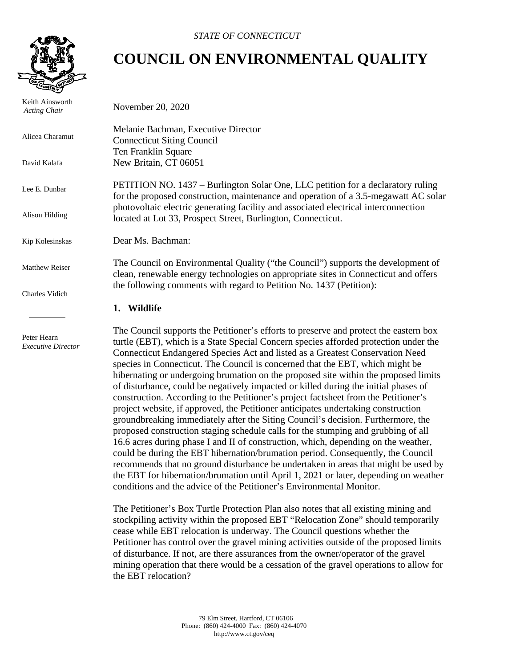

 Keith Ainsworth  *Acting Chair*

Alicea Charamut

David Kalafa

Lee E. Dunbar

Alison Hilding

Kip Kolesinskas

Matthew Reiser

Charles Vidich

 Peter Hearn *Executive Director*

## **COUNCIL ON ENVIRONMENTAL QUALITY**

November 20, 2020

Melanie Bachman, Executive Director Connecticut Siting Council Ten Franklin Square New Britain, CT 06051

PETITION NO. 1437 – Burlington Solar One, LLC petition for a declaratory ruling for the proposed construction, maintenance and operation of a 3.5-megawatt AC solar photovoltaic electric generating facility and associated electrical interconnection located at Lot 33, Prospect Street, Burlington, Connecticut.

Dear Ms. Bachman:

The Council on Environmental Quality ("the Council") supports the development of clean, renewable energy technologies on appropriate sites in Connecticut and offers the following comments with regard to Petition No. 1437 (Petition):

## **1. Wildlife**

The Council supports the Petitioner's efforts to preserve and protect the eastern box turtle (EBT), which is a State Special Concern species afforded protection under the Connecticut Endangered Species Act and listed as a Greatest Conservation Need species in Connecticut. The Council is concerned that the EBT, which might be hibernating or undergoing brumation on the proposed site within the proposed limits of disturbance, could be negatively impacted or killed during the initial phases of construction. According to the Petitioner's project factsheet from the Petitioner's project website, if approved, the Petitioner anticipates undertaking construction groundbreaking immediately after the Siting Council's decision. Furthermore, the proposed construction staging schedule calls for the stumping and grubbing of all 16.6 acres during phase I and II of construction, which, depending on the weather, could be during the EBT hibernation/brumation period. Consequently, the Council recommends that no ground disturbance be undertaken in areas that might be used by the EBT for hibernation/brumation until April 1, 2021 or later, depending on weather conditions and the advice of the Petitioner's Environmental Monitor.

The Petitioner's Box Turtle Protection Plan also notes that all existing mining and stockpiling activity within the proposed EBT "Relocation Zone" should temporarily cease while EBT relocation is underway. The Council questions whether the Petitioner has control over the gravel mining activities outside of the proposed limits of disturbance. If not, are there assurances from the owner/operator of the gravel mining operation that there would be a cessation of the gravel operations to allow for the EBT relocation?